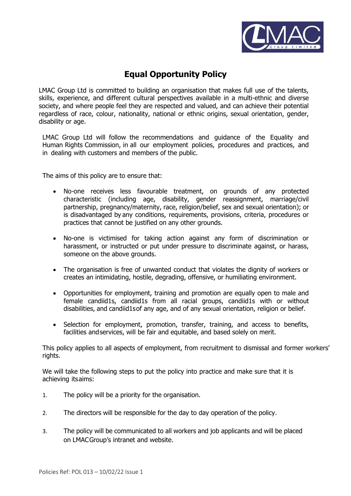

## **Equal Opportunity Policy**

LMAC Group Ltd is committed to building an organisation that makes full use of the talents, skills, experience, and different cultural perspectives available in a multi-ethnic and diverse society, and where people feel they are respected and valued, and can achieve their potential regardless of race, colour, nationality, national or ethnic origins, sexual orientation, gender, disability or age.

LMAC Group Ltd will follow the recommendations and guidance of the Equality and Human Rights Commission, in all our employment policies, procedures and practices, and in dealing with customers and members of the public.

The aims of this policy are to ensure that:

- No-one receives less favourable treatment, on grounds of any protected characteristic (including age, disability, gender reassignment, marriage/civil partnership, pregnancy/maternity, race, religion/belief, sex and sexual orientation); or is disadvantaged by any conditions, requirements, provisions, criteria, procedures or practices that cannot be justified on any other grounds.
- No-one is victimised for taking action against any form of discrimination or harassment, or instructed or put under pressure to discriminate against, or harass, someone on the above grounds.
- The organisation is free of unwanted conduct that violates the dignity of workers or creates an intimidating, hostile, degrading, offensive, or humiliating environment.
- Opportunities for employment, training and promotion are equally open to male and female candiid1s, candiid1s from all racial groups, candiid1s with or without disabilities, and candiid1sof any age, and of any sexual orientation, religion or belief.
- Selection for employment, promotion, transfer, training, and access to benefits, facilities andservices, will be fair and equitable, and based solely on merit.

This policy applies to all aspects of employment, from recruitment to dismissal and former workers' rights.

We will take the following steps to put the policy into practice and make sure that it is achieving itsaims:

- 1. The policy will be a priority for the organisation.
- 2. The directors will be responsible for the day to day operation of the policy.
- 3. The policy will be communicated to all workers and job applicants and will be placed on LMACGroup's intranet and website.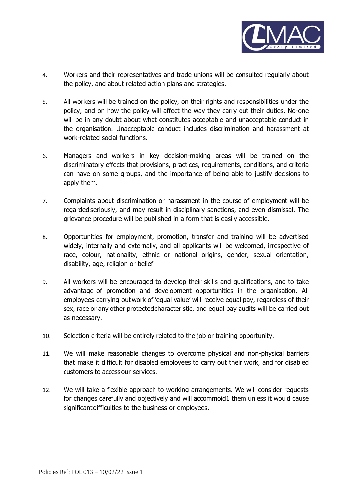

- 4. Workers and their representatives and trade unions will be consulted regularly about the policy, and about related action plans and strategies.
- 5. All workers will be trained on the policy, on their rights and responsibilities under the policy, and on how the policy will affect the way they carry out their duties. No-one will be in any doubt about what constitutes acceptable and unacceptable conduct in the organisation. Unacceptable conduct includes discrimination and harassment at work-related social functions.
- 6. Managers and workers in key decision-making areas will be trained on the discriminatory effects that provisions, practices, requirements, conditions, and criteria can have on some groups, and the importance of being able to justify decisions to apply them.
- 7. Complaints about discrimination or harassment in the course of employment will be regarded seriously, and may result in disciplinary sanctions, and even dismissal. The grievance procedure will be published in a form that is easily accessible.
- 8. Opportunities for employment, promotion, transfer and training will be advertised widely, internally and externally, and all applicants will be welcomed, irrespective of race, colour, nationality, ethnic or national origins, gender, sexual orientation, disability, age, religion or belief.
- 9. All workers will be encouraged to develop their skills and qualifications, and to take advantage of promotion and development opportunities in the organisation. All employees carrying outwork of 'equal value' will receive equal pay, regardless of their sex, race or any other protected characteristic, and equal pay audits will be carried out as necessary.
- 10. Selection criteria will be entirely related to the job or training opportunity.
- 11. We will make reasonable changes to overcome physical and non-physical barriers that make it difficult for disabled employees to carry out their work, and for disabled customers to accessour services.
- 12. We will take a flexible approach to working arrangements. We will consider requests for changes carefully and objectively and will accommoid1 them unless it would cause significantdifficulties to the business or employees.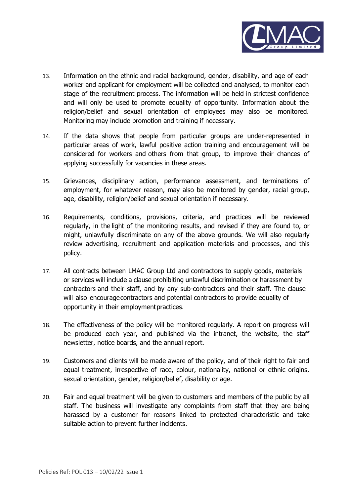

- 13. Information on the ethnic and racial background, gender, disability, and age of each worker and applicant for employment will be collected and analysed, to monitor each stage of the recruitment process. The information will be held in strictest confidence and will only be used to promote equality of opportunity. Information about the religion/belief and sexual orientation of employees may also be monitored. Monitoring may include promotion and training if necessary.
- 14. If the data shows that people from particular groups are under-represented in particular areas of work, lawful positive action training and encouragement will be considered for workers and others from that group, to improve their chances of applying successfully for vacancies in these areas.
- 15. Grievances, disciplinary action, performance assessment, and terminations of employment, for whatever reason, may also be monitored by gender, racial group, age, disability, religion/belief and sexual orientation if necessary.
- 16. Requirements, conditions, provisions, criteria, and practices will be reviewed regularly, in the light of the monitoring results, and revised if they are found to, or might, unlawfully discriminate on any of the above grounds. We will also regularly review advertising, recruitment and application materials and processes, and this policy.
- 17. All contracts between LMAC Group Ltd and contractors to supply goods, materials or services will include a clause prohibiting unlawful discrimination or harassment by contractors and their staff, and by any sub-contractors and their staff. The clause will also encouragecontractors and potential contractors to provide equality of opportunity in their employmentpractices.
- 18. The effectiveness of the policy will be monitored regularly. A report on progress will be produced each year, and published via the intranet, the website, the staff newsletter, notice boards, and the annual report.
- 19. Customers and clients will be made aware of the policy, and of their right to fair and equal treatment, irrespective of race, colour, nationality, national or ethnic origins, sexual orientation, gender, religion/belief, disability or age.
- 20. Fair and equal treatment will be given to customers and members of the public by all staff. The business will investigate any complaints from staff that they are being harassed by a customer for reasons linked to protected characteristic and take suitable action to prevent further incidents.